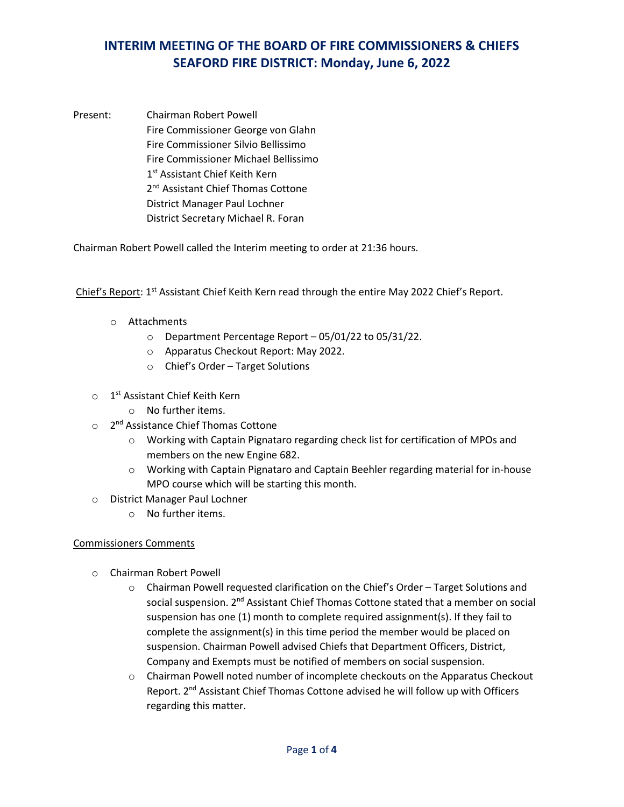Present: Chairman Robert Powell Fire Commissioner George von Glahn Fire Commissioner Silvio Bellissimo Fire Commissioner Michael Bellissimo 1<sup>st</sup> Assistant Chief Keith Kern 2<sup>nd</sup> Assistant Chief Thomas Cottone District Manager Paul Lochner District Secretary Michael R. Foran

Chairman Robert Powell called the Interim meeting to order at 21:36 hours.

Chief's Report: 1<sup>st</sup> Assistant Chief Keith Kern read through the entire May 2022 Chief's Report.

- o Attachments
	- o Department Percentage Report 05/01/22 to 05/31/22.
	- o Apparatus Checkout Report: May 2022.
	- o Chief's Order Target Solutions
- $\circ$  1<sup>st</sup> Assistant Chief Keith Kern
	- o No further items.
- o 2nd Assistance Chief Thomas Cottone
	- o Working with Captain Pignataro regarding check list for certification of MPOs and members on the new Engine 682.
	- o Working with Captain Pignataro and Captain Beehler regarding material for in-house MPO course which will be starting this month.
- o District Manager Paul Lochner
	- o No further items.

#### Commissioners Comments

- o Chairman Robert Powell
	- o Chairman Powell requested clarification on the Chief's Order Target Solutions and social suspension. 2<sup>nd</sup> Assistant Chief Thomas Cottone stated that a member on social suspension has one (1) month to complete required assignment(s). If they fail to complete the assignment(s) in this time period the member would be placed on suspension. Chairman Powell advised Chiefs that Department Officers, District, Company and Exempts must be notified of members on social suspension.
	- o Chairman Powell noted number of incomplete checkouts on the Apparatus Checkout Report. 2<sup>nd</sup> Assistant Chief Thomas Cottone advised he will follow up with Officers regarding this matter.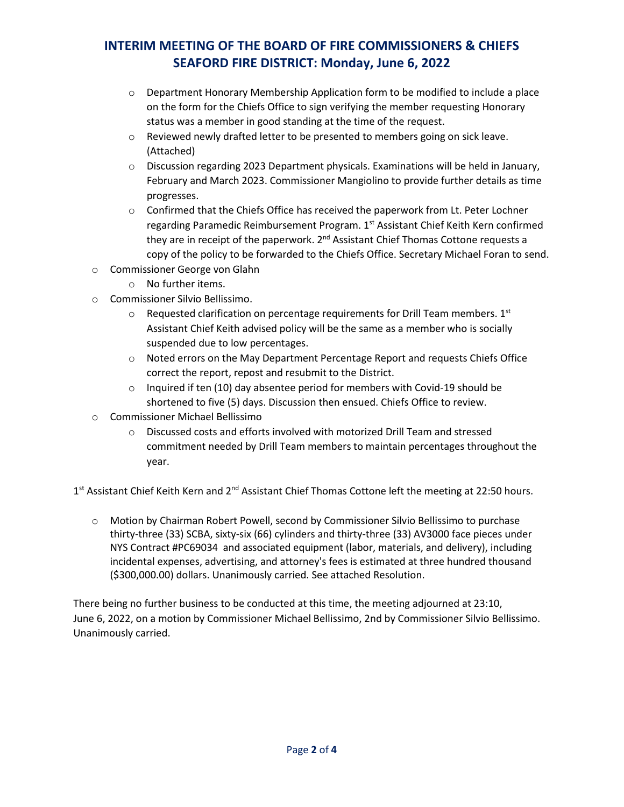- $\circ$  Department Honorary Membership Application form to be modified to include a place on the form for the Chiefs Office to sign verifying the member requesting Honorary status was a member in good standing at the time of the request.
- $\circ$  Reviewed newly drafted letter to be presented to members going on sick leave. (Attached)
- $\circ$  Discussion regarding 2023 Department physicals. Examinations will be held in January, February and March 2023. Commissioner Mangiolino to provide further details as time progresses.
- $\circ$  Confirmed that the Chiefs Office has received the paperwork from Lt. Peter Lochner regarding Paramedic Reimbursement Program. 1<sup>st</sup> Assistant Chief Keith Kern confirmed they are in receipt of the paperwork. 2<sup>nd</sup> Assistant Chief Thomas Cottone requests a copy of the policy to be forwarded to the Chiefs Office. Secretary Michael Foran to send.
- o Commissioner George von Glahn
	- o No further items.
- o Commissioner Silvio Bellissimo.
	- $\circ$  Requested clarification on percentage requirements for Drill Team members. 1st Assistant Chief Keith advised policy will be the same as a member who is socially suspended due to low percentages.
	- o Noted errors on the May Department Percentage Report and requests Chiefs Office correct the report, repost and resubmit to the District.
	- $\circ$  Inquired if ten (10) day absentee period for members with Covid-19 should be shortened to five (5) days. Discussion then ensued. Chiefs Office to review.
- o Commissioner Michael Bellissimo
	- o Discussed costs and efforts involved with motorized Drill Team and stressed commitment needed by Drill Team members to maintain percentages throughout the year.

1st Assistant Chief Keith Kern and 2<sup>nd</sup> Assistant Chief Thomas Cottone left the meeting at 22:50 hours.

o Motion by Chairman Robert Powell, second by Commissioner Silvio Bellissimo to purchase thirty-three (33) SCBA, sixty-six (66) cylinders and thirty-three (33) AV3000 face pieces under NYS Contract #PC69034 and associated equipment (labor, materials, and delivery), including incidental expenses, advertising, and attorney's fees is estimated at three hundred thousand (\$300,000.00) dollars. Unanimously carried. See attached Resolution.

There being no further business to be conducted at this time, the meeting adjourned at 23:10, June 6, 2022, on a motion by Commissioner Michael Bellissimo, 2nd by Commissioner Silvio Bellissimo. Unanimously carried.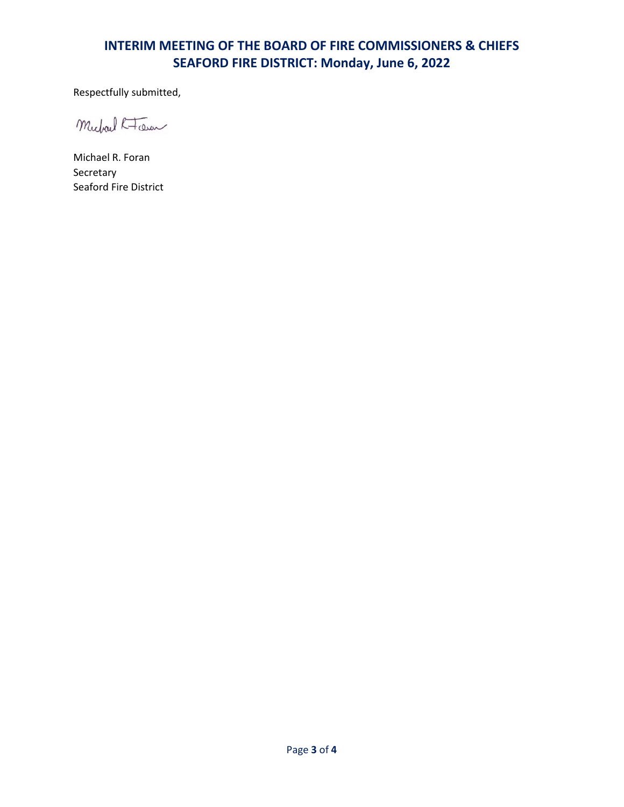Respectfully submitted,

Michael K-Toen

Michael R. Foran Secretary Seaford Fire District